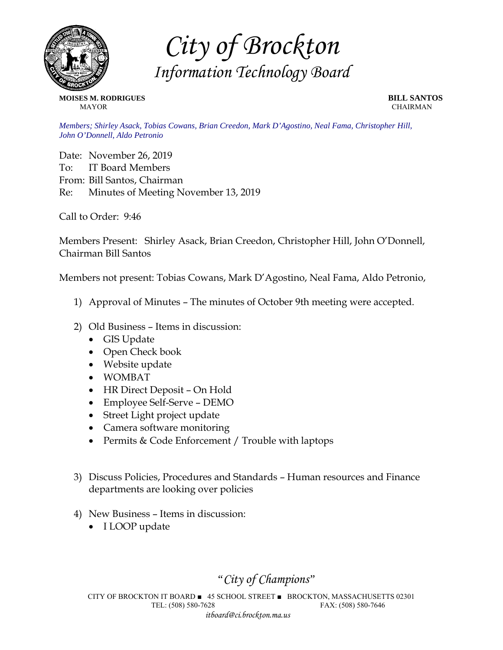

*City of Brockton Information Technology Board* 

**MOISES M. RODRIGUES BILL SANTOS MAYOR** CHAIRMAN

*Members; Shirley Asack, Tobias Cowans, Brian Creedon, Mark D'Agostino, Neal Fama, Christopher Hill, John O'Donnell, Aldo Petronio* 

Date: November 26, 2019 To: IT Board Members From: Bill Santos, Chairman Re: Minutes of Meeting November 13, 2019

Call to Order: 9:46

Members Present: Shirley Asack, Brian Creedon, Christopher Hill, John O'Donnell, Chairman Bill Santos

Members not present: Tobias Cowans, Mark D'Agostino, Neal Fama, Aldo Petronio,

- 1) Approval of Minutes The minutes of October 9th meeting were accepted.
- 2) Old Business Items in discussion:
	- GIS Update
	- Open Check book
	- Website update
	- WOMBAT
	- HR Direct Deposit On Hold
	- Employee Self-Serve DEMO
	- Street Light project update
	- Camera software monitoring
	- Permits & Code Enforcement / Trouble with laptops
- 3) Discuss Policies, Procedures and Standards Human resources and Finance departments are looking over policies
- 4) New Business Items in discussion:
	- I LOOP update

*"City of Champions"* 

CITY OF BROCKTON IT BOARD ■ 45 SCHOOL STREET ■ BROCKTON, MASSACHUSETTS 02301 TEL: (508) 580-7628 FAX: (508) 580-7646